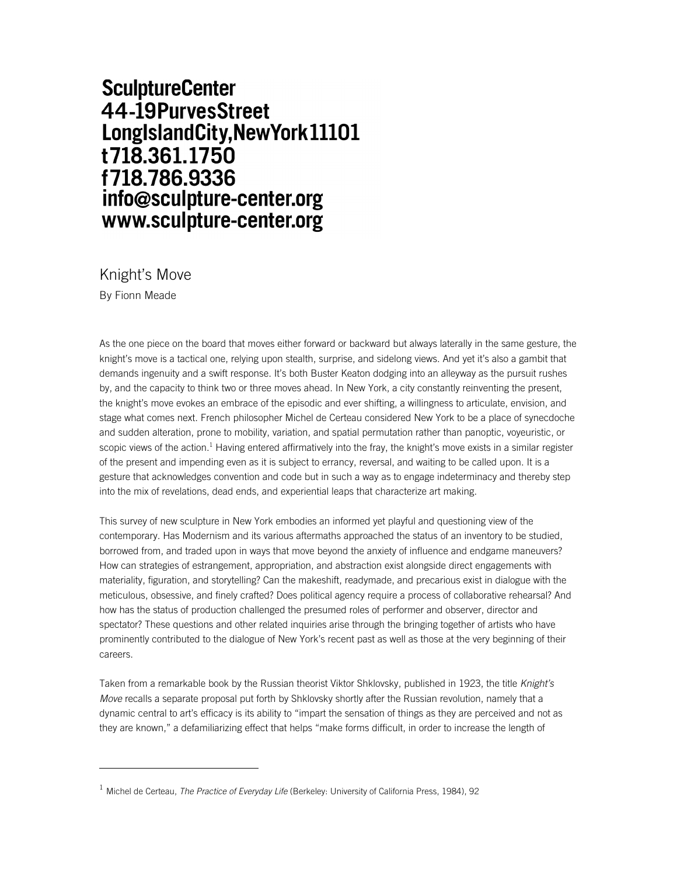## **SculptureCenter** 44-19PurvesStreet LongIslandCity, New York 11101 t718.361.1750 f718.786.9336 info@sculpture-center.org www.sculpture-center.org

Knight's Move By Fionn Meade

As the one piece on the board that moves either forward or backward but always laterally in the same gesture, the knight's move is a tactical one, relying upon stealth, surprise, and sidelong views. And yet it's also a gambit that demands ingenuity and a swift response. It's both Buster Keaton dodging into an alleyway as the pursuit rushes by, and the capacity to think two or three moves ahead. In New York, a city constantly reinventing the present, the knight's move evokes an embrace of the episodic and ever shifting, a willingness to articulate, envision, and stage what comes next. French philosopher Michel de Certeau considered New York to be a place of synecdoche and sudden alteration, prone to mobility, variation, and spatial permutation rather than panoptic, voyeuristic, or scopic views of the action.<sup>1</sup> Having entered affirmatively into the fray, the knight's move exists in a similar register of the present and impending even as it is subject to errancy, reversal, and waiting to be called upon. It is a gesture that acknowledges convention and code but in such a way as to engage indeterminacy and thereby step into the mix of revelations, dead ends, and experiential leaps that characterize art making.

This survey of new sculpture in New York embodies an informed yet playful and questioning view of the contemporary. Has Modernism and its various aftermaths approached the status of an inventory to be studied, borrowed from, and traded upon in ways that move beyond the anxiety of influence and endgame maneuvers? How can strategies of estrangement, appropriation, and abstraction exist alongside direct engagements with materiality, figuration, and storytelling? Can the makeshift, readymade, and precarious exist in dialogue with the meticulous, obsessive, and finely crafted? Does political agency require a process of collaborative rehearsal? And how has the status of production challenged the presumed roles of performer and observer, director and spectator? These questions and other related inquiries arise through the bringing together of artists who have prominently contributed to the dialogue of New York's recent past as well as those at the very beginning of their careers.

Taken from a remarkable book by the Russian theorist Viktor Shklovsky, published in 1923, the title *Knight's Move* recalls a separate proposal put forth by Shklovsky shortly after the Russian revolution, namely that a dynamic central to art's efficacy is its ability to "impart the sensation of things as they are perceived and not as they are known," a defamiliarizing effect that helps "make forms difficult, in order to increase the length of

<sup>1</sup> Michel de Certeau, *The Practice of Everyday Life* (Berkeley: University of California Press, 1984), 92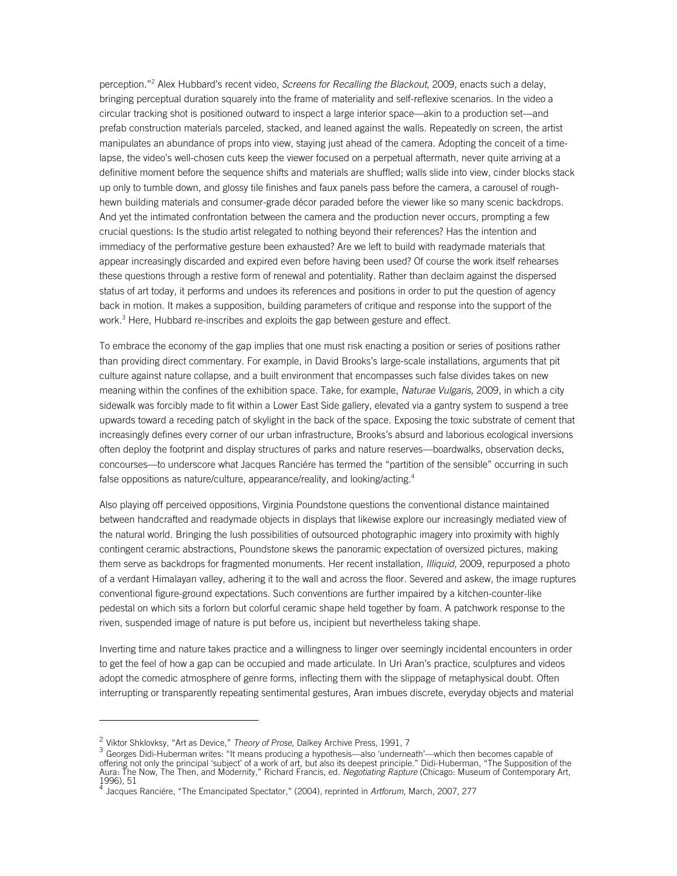perception."2 Alex Hubbard's recent video, *Screens for Recalling the Blackout*, 2009, enacts such a delay, bringing perceptual duration squarely into the frame of materiality and self-reflexive scenarios. In the video a circular tracking shot is positioned outward to inspect a large interior space—akin to a production set—and prefab construction materials parceled, stacked, and leaned against the walls. Repeatedly on screen, the artist manipulates an abundance of props into view, staying just ahead of the camera. Adopting the conceit of a timelapse, the video's well-chosen cuts keep the viewer focused on a perpetual aftermath, never quite arriving at a definitive moment before the sequence shifts and materials are shuffled; walls slide into view, cinder blocks stack up only to tumble down, and glossy tile finishes and faux panels pass before the camera, a carousel of roughhewn building materials and consumer-grade décor paraded before the viewer like so many scenic backdrops. And yet the intimated confrontation between the camera and the production never occurs, prompting a few crucial questions: Is the studio artist relegated to nothing beyond their references? Has the intention and immediacy of the performative gesture been exhausted? Are we left to build with readymade materials that appear increasingly discarded and expired even before having been used? Of course the work itself rehearses these questions through a restive form of renewal and potentiality. Rather than declaim against the dispersed status of art today, it performs and undoes its references and positions in order to put the question of agency back in motion. It makes a supposition, building parameters of critique and response into the support of the work.<sup>3</sup> Here, Hubbard re-inscribes and exploits the gap between gesture and effect.

To embrace the economy of the gap implies that one must risk enacting a position or series of positions rather than providing direct commentary. For example, in David Brooks's large-scale installations, arguments that pit culture against nature collapse, and a built environment that encompasses such false divides takes on new meaning within the confines of the exhibition space. Take, for example, *Naturae Vulgaris*, 2009, in which a city sidewalk was forcibly made to fit within a Lower East Side gallery, elevated via a gantry system to suspend a tree upwards toward a receding patch of skylight in the back of the space. Exposing the toxic substrate of cement that increasingly defines every corner of our urban infrastructure, Brooks's absurd and laborious ecological inversions often deploy the footprint and display structures of parks and nature reserves—boardwalks, observation decks, concourses—to underscore what Jacques Ranciére has termed the "partition of the sensible" occurring in such false oppositions as nature/culture, appearance/reality, and looking/acting.<sup>4</sup>

Also playing off perceived oppositions, Virginia Poundstone questions the conventional distance maintained between handcrafted and readymade objects in displays that likewise explore our increasingly mediated view of the natural world. Bringing the lush possibilities of outsourced photographic imagery into proximity with highly contingent ceramic abstractions, Poundstone skews the panoramic expectation of oversized pictures, making them serve as backdrops for fragmented monuments. Her recent installation, *Illiquid*, 2009, repurposed a photo of a verdant Himalayan valley, adhering it to the wall and across the floor. Severed and askew, the image ruptures conventional figure-ground expectations. Such conventions are further impaired by a kitchen-counter-like pedestal on which sits a forlorn but colorful ceramic shape held together by foam. A patchwork response to the riven, suspended image of nature is put before us, incipient but nevertheless taking shape.

Inverting time and nature takes practice and a willingness to linger over seemingly incidental encounters in order to get the feel of how a gap can be occupied and made articulate. In Uri Aran's practice, sculptures and videos adopt the comedic atmosphere of genre forms, inflecting them with the slippage of metaphysical doubt. Often interrupting or transparently repeating sentimental gestures, Aran imbues discrete, everyday objects and material

<sup>&</sup>lt;sup>2</sup> Viktor Shklovksy, "Art as Device," *Theory of Prose*, Dalkey Archive Press, 1991, 7<br><sup>3</sup> Georges Didi-Huberman writes: "It means producing a hypothesis—also 'underneath'—which then becomes capable of offering not only the principal 'subject' of a work of art, but also its deepest principle." Didi-Huberman, "The Supposition of the<br>Aura: The Now, The Then, and Modernity," Richard Francis, ed. *Negotiating Rapture* (Chica 1996), 51

<sup>4</sup> Jacques Ranciére, "The Emancipated Spectator," (2004), reprinted in *Artforum*, March, 2007, 277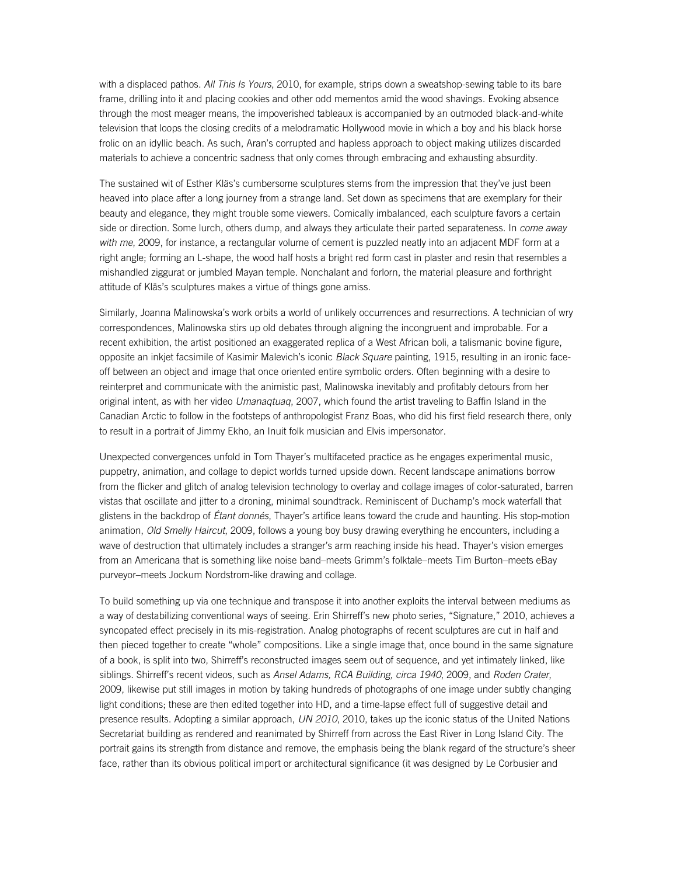with a displaced pathos. *All This Is Yours*, 2010, for example, strips down a sweatshop-sewing table to its bare frame, drilling into it and placing cookies and other odd mementos amid the wood shavings. Evoking absence through the most meager means, the impoverished tableaux is accompanied by an outmoded black-and-white television that loops the closing credits of a melodramatic Hollywood movie in which a boy and his black horse frolic on an idyllic beach. As such, Aran's corrupted and hapless approach to object making utilizes discarded materials to achieve a concentric sadness that only comes through embracing and exhausting absurdity.

The sustained wit of Esther Kläs's cumbersome sculptures stems from the impression that they've just been heaved into place after a long journey from a strange land. Set down as specimens that are exemplary for their beauty and elegance, they might trouble some viewers. Comically imbalanced, each sculpture favors a certain side or direction. Some lurch, others dump, and always they articulate their parted separateness. In *come away with me*, 2009, for instance, a rectangular volume of cement is puzzled neatly into an adjacent MDF form at a right angle; forming an L-shape, the wood half hosts a bright red form cast in plaster and resin that resembles a mishandled ziggurat or jumbled Mayan temple. Nonchalant and forlorn, the material pleasure and forthright attitude of Kläs's sculptures makes a virtue of things gone amiss.

Similarly, Joanna Malinowska's work orbits a world of unlikely occurrences and resurrections. A technician of wry correspondences, Malinowska stirs up old debates through aligning the incongruent and improbable. For a recent exhibition, the artist positioned an exaggerated replica of a West African boli, a talismanic bovine figure, opposite an inkjet facsimile of Kasimir Malevich's iconic *Black Square* painting, 1915, resulting in an ironic faceoff between an object and image that once oriented entire symbolic orders. Often beginning with a desire to reinterpret and communicate with the animistic past, Malinowska inevitably and profitably detours from her original intent, as with her video *Umanaqtuaq*, 2007, which found the artist traveling to Baffin Island in the Canadian Arctic to follow in the footsteps of anthropologist Franz Boas, who did his first field research there, only to result in a portrait of Jimmy Ekho, an Inuit folk musician and Elvis impersonator.

Unexpected convergences unfold in Tom Thayer's multifaceted practice as he engages experimental music, puppetry, animation, and collage to depict worlds turned upside down. Recent landscape animations borrow from the flicker and glitch of analog television technology to overlay and collage images of color-saturated, barren vistas that oscillate and jitter to a droning, minimal soundtrack. Reminiscent of Duchamp's mock waterfall that glistens in the backdrop of *Étant donnés*, Thayer's artifice leans toward the crude and haunting. His stop-motion animation, *Old Smelly Haircut*, 2009, follows a young boy busy drawing everything he encounters, including a wave of destruction that ultimately includes a stranger's arm reaching inside his head. Thayer's vision emerges from an Americana that is something like noise band–meets Grimm's folktale–meets Tim Burton–meets eBay purveyor–meets Jockum Nordstrom-like drawing and collage.

To build something up via one technique and transpose it into another exploits the interval between mediums as a way of destabilizing conventional ways of seeing. Erin Shirreff's new photo series, "Signature," 2010, achieves a syncopated effect precisely in its mis-registration. Analog photographs of recent sculptures are cut in half and then pieced together to create "whole" compositions. Like a single image that, once bound in the same signature of a book, is split into two, Shirreff's reconstructed images seem out of sequence, and yet intimately linked, like siblings. Shirreff's recent videos, such as *Ansel Adams, RCA Building, circa 1940*, 2009, and *Roden Crater*, 2009, likewise put still images in motion by taking hundreds of photographs of one image under subtly changing light conditions; these are then edited together into HD, and a time-lapse effect full of suggestive detail and presence results. Adopting a similar approach, *UN 2010*, 2010, takes up the iconic status of the United Nations Secretariat building as rendered and reanimated by Shirreff from across the East River in Long Island City. The portrait gains its strength from distance and remove, the emphasis being the blank regard of the structure's sheer face, rather than its obvious political import or architectural significance (it was designed by Le Corbusier and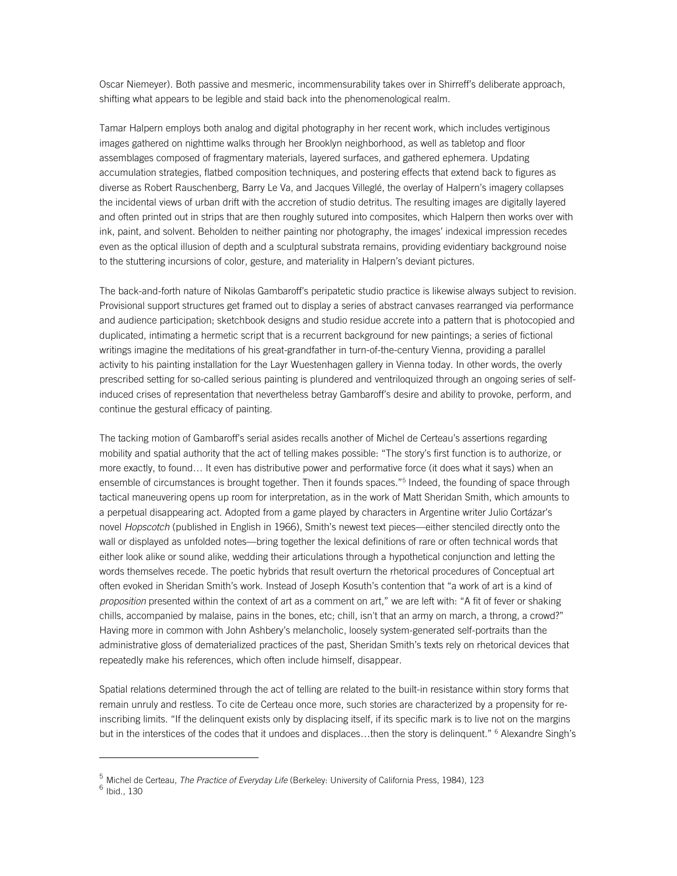Oscar Niemeyer). Both passive and mesmeric, incommensurability takes over in Shirreff's deliberate approach, shifting what appears to be legible and staid back into the phenomenological realm.

Tamar Halpern employs both analog and digital photography in her recent work, which includes vertiginous images gathered on nighttime walks through her Brooklyn neighborhood, as well as tabletop and floor assemblages composed of fragmentary materials, layered surfaces, and gathered ephemera. Updating accumulation strategies, flatbed composition techniques, and postering effects that extend back to figures as diverse as Robert Rauschenberg, Barry Le Va, and Jacques Villeglé, the overlay of Halpern's imagery collapses the incidental views of urban drift with the accretion of studio detritus. The resulting images are digitally layered and often printed out in strips that are then roughly sutured into composites, which Halpern then works over with ink, paint, and solvent. Beholden to neither painting nor photography, the images' indexical impression recedes even as the optical illusion of depth and a sculptural substrata remains, providing evidentiary background noise to the stuttering incursions of color, gesture, and materiality in Halpern's deviant pictures.

The back-and-forth nature of Nikolas Gambaroff's peripatetic studio practice is likewise always subject to revision. Provisional support structures get framed out to display a series of abstract canvases rearranged via performance and audience participation; sketchbook designs and studio residue accrete into a pattern that is photocopied and duplicated, intimating a hermetic script that is a recurrent background for new paintings; a series of fictional writings imagine the meditations of his great-grandfather in turn-of-the-century Vienna, providing a parallel activity to his painting installation for the Layr Wuestenhagen gallery in Vienna today. In other words, the overly prescribed setting for so-called serious painting is plundered and ventriloquized through an ongoing series of selfinduced crises of representation that nevertheless betray Gambaroff's desire and ability to provoke, perform, and continue the gestural efficacy of painting.

The tacking motion of Gambaroff's serial asides recalls another of Michel de Certeau's assertions regarding mobility and spatial authority that the act of telling makes possible: "The story's first function is to authorize, or more exactly, to found… It even has distributive power and performative force (it does what it says) when an ensemble of circumstances is brought together. Then it founds spaces."<sup>5</sup> Indeed, the founding of space through tactical maneuvering opens up room for interpretation, as in the work of Matt Sheridan Smith, which amounts to a perpetual disappearing act. Adopted from a game played by characters in Argentine writer Julio Cortázar's novel *Hopscotch* (published in English in 1966), Smith's newest text pieces—either stenciled directly onto the wall or displayed as unfolded notes—bring together the lexical definitions of rare or often technical words that either look alike or sound alike, wedding their articulations through a hypothetical conjunction and letting the words themselves recede. The poetic hybrids that result overturn the rhetorical procedures of Conceptual art often evoked in Sheridan Smith's work. Instead of Joseph Kosuth's contention that "a work of art is a kind of *proposition* presented within the context of art as a comment on art," we are left with: "A fit of fever or shaking chills, accompanied by malaise, pains in the bones, etc; chill, isn't that an army on march, a throng, a crowd?" Having more in common with John Ashbery's melancholic, loosely system-generated self-portraits than the administrative gloss of dematerialized practices of the past, Sheridan Smith's texts rely on rhetorical devices that repeatedly make his references, which often include himself, disappear.

Spatial relations determined through the act of telling are related to the built-in resistance within story forms that remain unruly and restless. To cite de Certeau once more, such stories are characterized by a propensity for reinscribing limits. "If the delinquent exists only by displacing itself, if its specific mark is to live not on the margins but in the interstices of the codes that it undoes and displaces...then the story is delinquent." <sup>6</sup> Alexandre Singh's

<sup>&</sup>lt;sup>5</sup> Michel de Certeau, *The Practice of Everyday Life* (Berkeley: University of California Press, 1984), 123 <sup>6</sup> Ibid., 130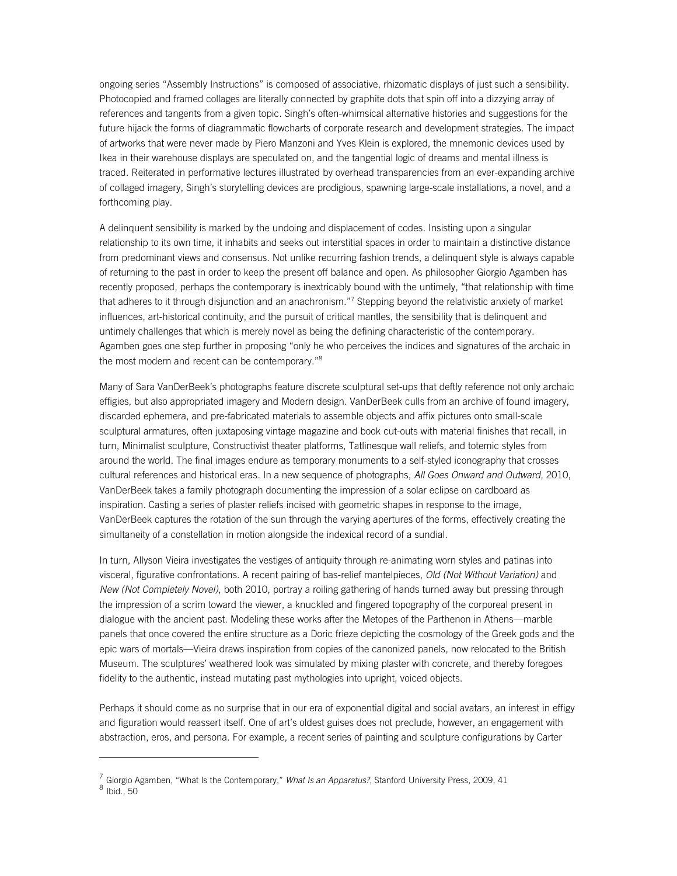ongoing series "Assembly Instructions" is composed of associative, rhizomatic displays of just such a sensibility. Photocopied and framed collages are literally connected by graphite dots that spin off into a dizzying array of references and tangents from a given topic. Singh's often-whimsical alternative histories and suggestions for the future hijack the forms of diagrammatic flowcharts of corporate research and development strategies. The impact of artworks that were never made by Piero Manzoni and Yves Klein is explored, the mnemonic devices used by Ikea in their warehouse displays are speculated on, and the tangential logic of dreams and mental illness is traced. Reiterated in performative lectures illustrated by overhead transparencies from an ever-expanding archive of collaged imagery, Singh's storytelling devices are prodigious, spawning large-scale installations, a novel, and a forthcoming play.

A delinquent sensibility is marked by the undoing and displacement of codes. Insisting upon a singular relationship to its own time, it inhabits and seeks out interstitial spaces in order to maintain a distinctive distance from predominant views and consensus. Not unlike recurring fashion trends, a delinquent style is always capable of returning to the past in order to keep the present off balance and open. As philosopher Giorgio Agamben has recently proposed, perhaps the contemporary is inextricably bound with the untimely, "that relationship with time that adheres to it through disjunction and an anachronism."<sup>7</sup> Stepping beyond the relativistic anxiety of market influences, art-historical continuity, and the pursuit of critical mantles, the sensibility that is delinquent and untimely challenges that which is merely novel as being the defining characteristic of the contemporary. Agamben goes one step further in proposing "only he who perceives the indices and signatures of the archaic in the most modern and recent can be contemporary."<sup>8</sup>

Many of Sara VanDerBeek's photographs feature discrete sculptural set-ups that deftly reference not only archaic effigies, but also appropriated imagery and Modern design. VanDerBeek culls from an archive of found imagery, discarded ephemera, and pre-fabricated materials to assemble objects and affix pictures onto small-scale sculptural armatures, often juxtaposing vintage magazine and book cut-outs with material finishes that recall, in turn, Minimalist sculpture, Constructivist theater platforms, Tatlinesque wall reliefs, and totemic styles from around the world. The final images endure as temporary monuments to a self-styled iconography that crosses cultural references and historical eras. In a new sequence of photographs, *All Goes Onward and Outward*, 2010, VanDerBeek takes a family photograph documenting the impression of a solar eclipse on cardboard as inspiration. Casting a series of plaster reliefs incised with geometric shapes in response to the image, VanDerBeek captures the rotation of the sun through the varying apertures of the forms, effectively creating the simultaneity of a constellation in motion alongside the indexical record of a sundial.

In turn, Allyson Vieira investigates the vestiges of antiquity through re-animating worn styles and patinas into visceral, figurative confrontations. A recent pairing of bas-relief mantelpieces, *Old (Not Without Variation)* and *New (Not Completely Novel)*, both 2010, portray a roiling gathering of hands turned away but pressing through the impression of a scrim toward the viewer, a knuckled and fingered topography of the corporeal present in dialogue with the ancient past. Modeling these works after the Metopes of the Parthenon in Athens—marble panels that once covered the entire structure as a Doric frieze depicting the cosmology of the Greek gods and the epic wars of mortals—Vieira draws inspiration from copies of the canonized panels, now relocated to the British Museum. The sculptures' weathered look was simulated by mixing plaster with concrete, and thereby foregoes fidelity to the authentic, instead mutating past mythologies into upright, voiced objects.

Perhaps it should come as no surprise that in our era of exponential digital and social avatars, an interest in effigy and figuration would reassert itself. One of art's oldest guises does not preclude, however, an engagement with abstraction, eros, and persona. For example, a recent series of painting and sculpture configurations by Carter

<sup>&</sup>lt;sup>7</sup> Giorgio Agamben, "What Is the Contemporary," *What Is an Apparatus?*, Stanford University Press, 2009, 41<br><sup>8</sup> Ibid., 50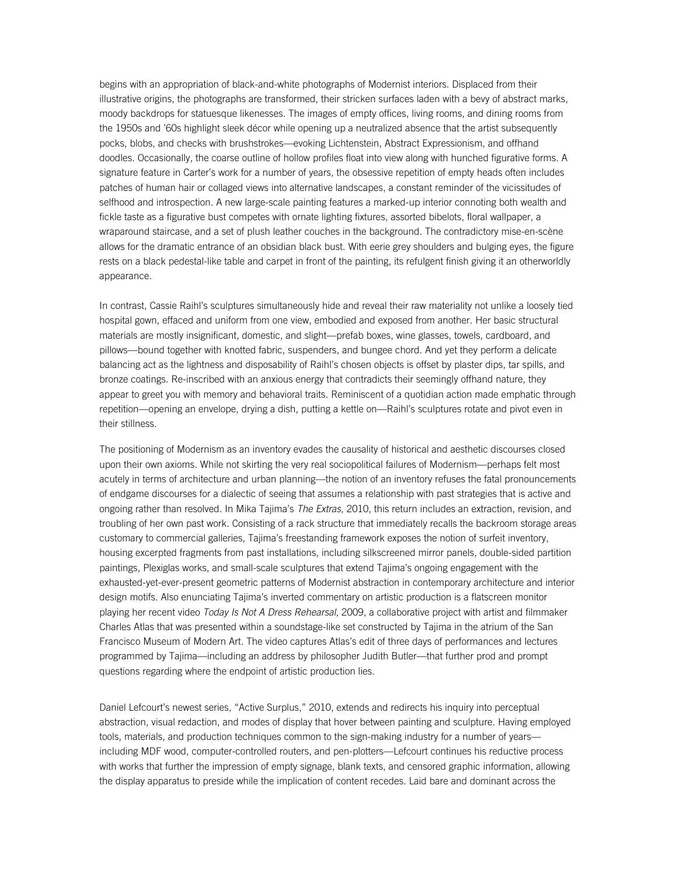begins with an appropriation of black-and-white photographs of Modernist interiors. Displaced from their illustrative origins, the photographs are transformed, their stricken surfaces laden with a bevy of abstract marks, moody backdrops for statuesque likenesses. The images of empty offices, living rooms, and dining rooms from the 1950s and '60s highlight sleek décor while opening up a neutralized absence that the artist subsequently pocks, blobs, and checks with brushstrokes—evoking Lichtenstein, Abstract Expressionism, and offhand doodles. Occasionally, the coarse outline of hollow profiles float into view along with hunched figurative forms. A signature feature in Carter's work for a number of years, the obsessive repetition of empty heads often includes patches of human hair or collaged views into alternative landscapes, a constant reminder of the vicissitudes of selfhood and introspection. A new large-scale painting features a marked-up interior connoting both wealth and fickle taste as a figurative bust competes with ornate lighting fixtures, assorted bibelots, floral wallpaper, a wraparound staircase, and a set of plush leather couches in the background. The contradictory mise-en-scène allows for the dramatic entrance of an obsidian black bust. With eerie grey shoulders and bulging eyes, the figure rests on a black pedestal-like table and carpet in front of the painting, its refulgent finish giving it an otherworldly appearance.

In contrast, Cassie Raihl's sculptures simultaneously hide and reveal their raw materiality not unlike a loosely tied hospital gown, effaced and uniform from one view, embodied and exposed from another. Her basic structural materials are mostly insignificant, domestic, and slight—prefab boxes, wine glasses, towels, cardboard, and pillows—bound together with knotted fabric, suspenders, and bungee chord. And yet they perform a delicate balancing act as the lightness and disposability of Raihl's chosen objects is offset by plaster dips, tar spills, and bronze coatings. Re-inscribed with an anxious energy that contradicts their seemingly offhand nature, they appear to greet you with memory and behavioral traits. Reminiscent of a quotidian action made emphatic through repetition—opening an envelope, drying a dish, putting a kettle on—Raihl's sculptures rotate and pivot even in their stillness.

The positioning of Modernism as an inventory evades the causality of historical and aesthetic discourses closed upon their own axioms. While not skirting the very real sociopolitical failures of Modernism—perhaps felt most acutely in terms of architecture and urban planning—the notion of an inventory refuses the fatal pronouncements of endgame discourses for a dialectic of seeing that assumes a relationship with past strategies that is active and ongoing rather than resolved. In Mika Tajima's *The Extras*, 2010, this return includes an extraction, revision, and troubling of her own past work. Consisting of a rack structure that immediately recalls the backroom storage areas customary to commercial galleries, Tajima's freestanding framework exposes the notion of surfeit inventory, housing excerpted fragments from past installations, including silkscreened mirror panels, double-sided partition paintings, Plexiglas works, and small-scale sculptures that extend Tajima's ongoing engagement with the exhausted-yet-ever-present geometric patterns of Modernist abstraction in contemporary architecture and interior design motifs. Also enunciating Tajima's inverted commentary on artistic production is a flatscreen monitor playing her recent video *Today Is Not A Dress Rehearsal*, 2009, a collaborative project with artist and filmmaker Charles Atlas that was presented within a soundstage-like set constructed by Tajima in the atrium of the San Francisco Museum of Modern Art. The video captures Atlas's edit of three days of performances and lectures programmed by Tajima—including an address by philosopher Judith Butler—that further prod and prompt questions regarding where the endpoint of artistic production lies.

Daniel Lefcourt's newest series, "Active Surplus," 2010, extends and redirects his inquiry into perceptual abstraction, visual redaction, and modes of display that hover between painting and sculpture. Having employed tools, materials, and production techniques common to the sign-making industry for a number of years including MDF wood, computer-controlled routers, and pen-plotters—Lefcourt continues his reductive process with works that further the impression of empty signage, blank texts, and censored graphic information, allowing the display apparatus to preside while the implication of content recedes. Laid bare and dominant across the